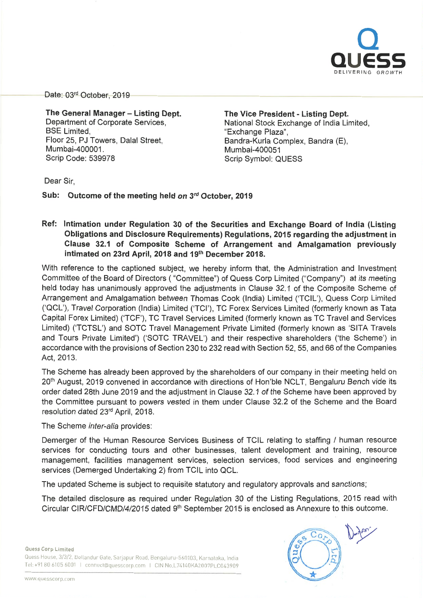

Date: 03<sup>rd</sup> October, 2019

The General Manager - Listing Dept. Department of Corporate Services, **BSE** Limited. Floor 25, PJ Towers, Dalal Street, Mumbai-400001. Scrip Code: 539978

The Vice President - Listing Dept. National Stock Exchange of India Limited, "Exchange Plaza", Bandra-Kurla Complex, Sandra (E), Mumbai-400051 Scrip Symbol: QUESS

Dear Sir,

Sub: Outcome of the meeting held on 3rd October, 2019

## Ref: Intimation under Regulation 30 of the Securities and Exchange Board of India (Listing Obligations and Disclosure Requirements) Regulations, 2015 regarding the adjustment in Clause 32.1 of Composite Scheme of Arrangement and Amalgamation previously intimated on 23rd April, 2018 and 19th December 2018.

With reference to the captioned subject, we hereby inform that, the Administration and Investment Committee of the Board of Directors ( "Committee") of Quess Corp Limited ("Company") at its meeting held today has unanimously approved the adjustments in Clause 32.1 of the Composite Scheme of Arrangement and Amalgamation between Thomas Cook (India) Limited ('TCIL'), Quess Corp Limited ('QCL'), Travel Corporation (India) Limited ('TCI'), TC Forex Services Limited (formerly known as Tata Capital Forex Limited) ('TCF'), TC Travel Services Limited (formerly known as TC Travel and Services Limited) ('TCTSL') and SOTC Travel Management Private Limited (formerly known as 'SITA Travels and Tours Private Limited') ('SOTC TRAVEL') and their respective shareholders ('the Scheme') in accordance with the provisions of Section 230 to 232 read with Section 52, 55, and 66 of the Companies Act, 2013.

The Scheme has already been approved by the shareholders of our company in their meeting held on 20<sup>th</sup> August, 2019 convened in accordance with directions of Hon'ble NCLT, Bengaluru Bench vide its order dated 28th June 2019 and the adjustment in Clause 32.1 of the Scheme have been approved by the Committee pursuant to powers vested in them under Clause 32.2 of the Scheme and the Board resolution dated 23rd April, 2018.

The Scheme inter-alia provides:

Demerger of the Human Resource Services Business of TCIL relating to staffing / human resource services for conducting tours and other businesses, talent development and training, resource management, facilities management services, selection services, food services and engineering services (Demerged Undertaking 2) from TCIL into QCL.

The updated Scheme is subject to requisite statutory and regulatory approvals and sanctions;

The detailed disclosure as required under Regulation 30 of the Listing Regulations, 2015 read with Circular CIR/CFD/CMD/4/2015 dated 9<sup>th</sup> September 2015 is enclosed as Annexure to this outcome.

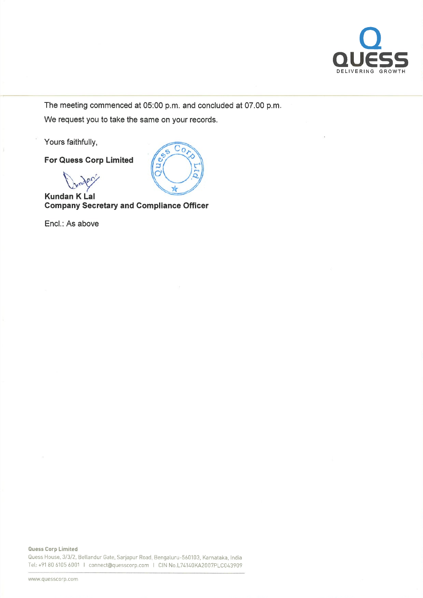

The meeting commenced at 05:00 p.m. and concluded at 07.00 p.m. We request you to take the same on your records.

> ¢  $\overline{a}$

 $\overline{c_{o}}$ 

Yours faithfully,

For Quess Corp Limited

**Denis** 

Kundan K Lal Company Secretary and Compliance Officer

Encl.: As above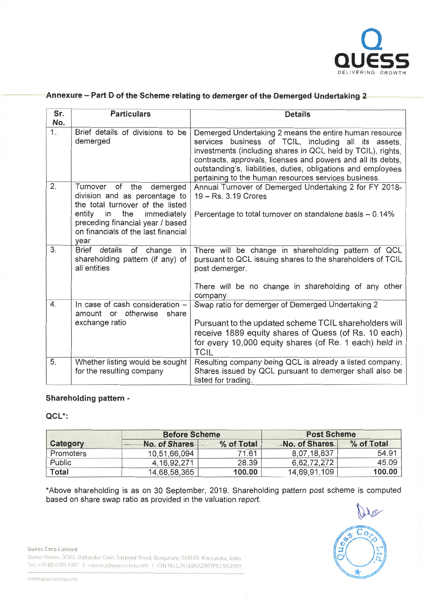

## Annexure - Part D of the Scheme relating to demerger of the Demerged Undertaking 2

| Sr.<br>No. | <b>Particulars</b>                                                                                                                                                                                                           | <b>Details</b>                                                                                                                                                                                                                                                                                                                                                         |  |  |
|------------|------------------------------------------------------------------------------------------------------------------------------------------------------------------------------------------------------------------------------|------------------------------------------------------------------------------------------------------------------------------------------------------------------------------------------------------------------------------------------------------------------------------------------------------------------------------------------------------------------------|--|--|
| 1.         | Brief details of divisions to be<br>demerged                                                                                                                                                                                 | Demerged Undertaking 2 means the entire human resource<br>services business of TCIL, including all its assets,<br>investments (including shares in QCL held by TCIL), rights,<br>contracts, approvals, licenses and powers and all its debts,<br>outstanding's, liabilities, duties, obligations and employees<br>pertaining to the human resources services business. |  |  |
| 2.         | of the<br>Turnover<br>demerged<br>division and as percentage to<br>the total turnover of the listed<br>entity<br>in<br>the<br>immediately<br>preceding financial year / based<br>on financials of the last financial<br>year | Annual Turnover of Demerged Undertaking 2 for FY 2018-<br>19 – Rs. 3.19 Crores<br>Percentage to total turnover on standalone basis $-0.14\%$                                                                                                                                                                                                                           |  |  |
| 3.         | details<br>Brief<br>of<br>change<br>in<br>shareholding pattern (if any) of<br>all entities                                                                                                                                   | There will be change in shareholding pattern of QCL<br>pursuant to QCL issuing shares to the shareholders of TCIL<br>post demerger.<br>There will be no change in shareholding of any other<br>company.                                                                                                                                                                |  |  |
| 4.         | In case of cash consideration -<br>amount or otherwise<br>share<br>exchange ratio                                                                                                                                            | Swap ratio for demerger of Demerged Undertaking 2<br>Pursuant to the updated scheme TCIL shareholders will<br>receive 1889 equity shares of Quess (of Rs. 10 each)<br>for every 10,000 equity shares (of Re. 1 each) held in<br><b>TCIL</b>                                                                                                                            |  |  |
| 5.         | Whether listing would be sought<br>for the resulting company                                                                                                                                                                 | Resulting company being QCL is already a listed company<br>Shares issued by QCL pursuant to demerger shall also be<br>listed for trading.                                                                                                                                                                                                                              |  |  |

## Shareholding pattern -

QCL\*:

|               | <b>Before Scheme</b> |            | <b>Post Scheme</b>   |            |
|---------------|----------------------|------------|----------------------|------------|
| Category      | No. of Shares        | % of Total | <b>No. of Shares</b> | % of Total |
| Promoters     | 10,51,66,094         | 71.61      | 8.07.18.837          | 54.91      |
| <b>Public</b> | 4, 16, 92, 271       | 28.39      | 6,62,72,272          | 45.09      |
| Total         | 14,68,58,365         | 100.00     | 14 69 91 109         | 100.00     |

\* Above shareholding is as on <sup>30</sup> September, 2019. Shareholding pattern post scheme is computed based on share swap ratio as provided in the valuation report.

Quess Corp Limited

Quess House, 3/3/2, Bellandur Gate, Sarjapur Road, Bengaluru-560103, Karnataka, India Tel: +91 80 6105 6001 | connect@quesscorp com | CIN No L74140KA2007PLC043909